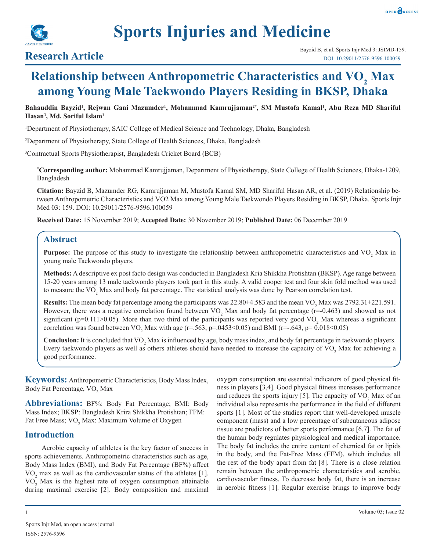

# **Relationship between Anthropometric Characteristics and VO<sub>2</sub> Max among Young Male Taekwondo Players Residing in BKSP, Dhaka**

### Bahauddin Bayzid<sup>ı</sup>, Rejwan Gani Mazumder<sup>ı</sup>, Mohammad Kamrujjaman<sup>2\*</sup>, SM Mustofa Kamal<sup>ı</sup>, Abu Reza MD Shariful **Hasan3 , Md. Soriful Islam1**

1 Department of Physiotherapy, SAIC College of Medical Science and Technology, Dhaka, Bangladesh

2 Department of Physiotherapy, State College of Health Sciences, Dhaka, Bangladesh

3 Contractual Sports Physiotherapist, Bangladesh Cricket Board (BCB)

**\* Corresponding author:** Mohammad Kamrujjaman, Department of Physiotherapy, State College of Health Sciences, Dhaka-1209, Bangladesh

**Citation:** Bayzid B, Mazumder RG, Kamrujjaman M, Mustofa Kamal SM, MD Shariful Hasan AR, et al. (2019) Relationship between Anthropometric Characteristics and VO2 Max among Young Male Taekwondo Players Residing in BKSP, Dhaka. Sports Injr Med 03: 159. DOI: 10.29011/2576-9596.100059

**Received Date:** 15 November 2019; **Accepted Date:** 30 November 2019; **Published Date:** 06 December 2019

# **Abstract**

**Purpose:** The purpose of this study to investigate the relationship between anthropometric characteristics and VO<sub>2</sub> Max in young male Taekwondo players.

**Methods:** A descriptive ex post facto design was conducted in Bangladesh Kria Shikkha Protishtan (BKSP). Age range between 15-20 years among 13 male taekwondo players took part in this study. A valid cooper test and four skin fold method was used to measure the  $VO_2$  Max and body fat percentage. The statistical analysis was done by Pearson correlation test.

**Results:** The mean body fat percentage among the participants was  $22.80 \pm 4.583$  and the mean VO<sub>2</sub> Max was  $2792.31 \pm 221.591$ . However, there was a negative correlation found between  $VO<sub>2</sub>$  Max and body fat percentage (r=-0.463) and showed as not significant (p=0.111>0.05). More than two third of the participants was reported very good  $VO<sub>2</sub>$  Max whereas a significant correlation was found between VO<sub>2</sub> Max with age (r=.563, p=.0453<0.05) and BMI (r=-.643, p= 0.018<0.05)

**Conclusion:** It is concluded that VO<sub>2</sub> Max is influenced by age, body mass index, and body fat percentage in taekwondo players. Every taekwondo players as well as others athletes should have needed to increase the capacity of  $VO_2$  Max for achieving a good performance.

**Keywords:** Anthropometric Characteristics, Body Mass Index, Body Fat Percentage, VO<sub>2</sub> Max

**Abbreviations:** BF%: Body Fat Percentage; BMI: Body Mass Index; BKSP: Bangladesh Krira Shikkha Protishtan; FFM: Fat Free Mass;  $\rm VO_{2}$  Max: Maximum Volume of Oxygen

# **Introduction**

Aerobic capacity of athletes is the key factor of success in sports achievements. Anthropometric characteristics such as age, Body Mass Index (BMI), and Body Fat Percentage (BF%) affect  $VO<sub>2</sub>$  max as well as the cardiovascular status of the athletes [1].  $VO<sub>2</sub>$  Max is the highest rate of oxygen consumption attainable during maximal exercise [2]. Body composition and maximal

oxygen consumption are essential indicators of good physical fitness in players [3,4]. Good physical fitness increases performance and reduces the sports injury [5]. The capacity of  $VO<sub>2</sub>$  Max of an individual also represents the performance in the field of different sports [1]. Most of the studies report that well-developed muscle component (mass) and a low percentage of subcutaneous adipose tissue are predictors of better sports performance [6,7]. The fat of the human body regulates physiological and medical importance. The body fat includes the entire content of chemical fat or lipids in the body, and the Fat-Free Mass (FFM), which includes all the rest of the body apart from fat [8]. There is a close relation remain between the anthropometric characteristics and aerobic, cardiovascular fitness. To decrease body fat, there is an increase in aerobic fitness [1]. Regular exercise brings to improve body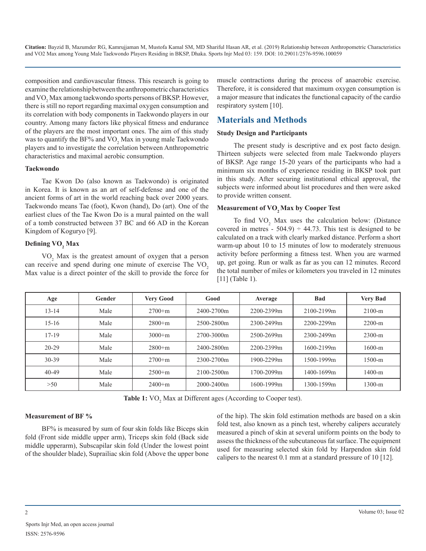**Citation:** Bayzid B, Mazumder RG, Kamrujjaman M, Mustofa Kamal SM, MD Shariful Hasan AR, et al. (2019) Relationship between Anthropometric Characteristics and VO2 Max among Young Male Taekwondo Players Residing in BKSP, Dhaka. Sports Injr Med 03: 159. DOI: 10.29011/2576-9596.100059

composition and cardiovascular fitness. This research is going to examine the relationship between the anthropometric characteristics and  $\rm VO_{2}$  Max among taekwondo sports persons of BKSP. However, there is still no report regarding maximal oxygen consumption and its correlation with body components in Taekwondo players in our country. Among many factors like physical fitness and endurance of the players are the most important ones. The aim of this study was to quantify the BF% and  $\text{VO}_2$  Max in young male Taekwondo players and to investigate the correlation between Anthropometric characteristics and maximal aerobic consumption.

#### **Taekwondo**

Tae Kwon Do (also known as Taekwondo) is originated in Korea. It is known as an art of self-defense and one of the ancient forms of art in the world reaching back over 2000 years. Taekwondo means Tae (foot), Kwon (hand), Do (art). One of the earliest clues of the Tae Kwon Do is a mural painted on the wall of a tomb constructed between 37 BC and 66 AD in the Korean Kingdom of Koguryo [9].

# **Defining VO<sup>2</sup> Max**

VO<sub>2</sub> Max is the greatest amount of oxygen that a person can receive and spend during one minute of exercise The VO<sub>2</sub> Max value is a direct pointer of the skill to provide the force for

muscle contractions during the process of anaerobic exercise. Therefore, it is considered that maximum oxygen consumption is a major measure that indicates the functional capacity of the cardio respiratory system [10].

# **Materials and Methods**

#### **Study Design and Participants**

The present study is descriptive and ex post facto design. Thirteen subjects were selected from male Taekwondo players of BKSP. Age range 15-20 years of the participants who had a minimum six months of experience residing in BKSP took part in this study. After securing institutional ethical approval, the subjects were informed about list procedures and then were asked to provide written consent.

#### **Measurement of VO<sub>2</sub> Max by Cooper Test**

To find  $VO_2$  Max uses the calculation below: (Distance covered in metres -  $504.9$ )  $\div$  44.73. This test is designed to be calculated on a track with clearly marked distance. Perform a short warm-up about 10 to 15 minutes of low to moderately strenuous activity before performing a fitness test. When you are warmed up, get going. Run or walk as far as you can 12 minutes. Record the total number of miles or kilometers you traveled in 12 minutes [11] (Table 1).

| Age       | Gender | <b>Very Good</b> | Good           | Average    | Bad        | <b>Very Bad</b> |
|-----------|--------|------------------|----------------|------------|------------|-----------------|
| $13 - 14$ | Male   | $2700+m$         | 2400-2700m     | 2200-2399m | 2100-2199m | $2100-m$        |
| $15-16$   | Male   | $2800+m$         | 2500-2800m     | 2300-2499m | 2200-2299m | $2200-m$        |
| $17 - 19$ | Male   | $3000+m$         | 2700-3000m     | 2500-2699m | 2300-2499m | $2300-m$        |
| $20 - 29$ | Male   | $2800+m$         | 2400-2800m     | 2200-2399m | 1600-2199m | 1600-m          |
| 30-39     | Male   | $2700+m$         | 2300-2700m     | 1900-2299m | 1500-1999m | 1500-m          |
| $40 - 49$ | Male   | $2500+m$         | 2100-2500m     | 1700-2099m | 1400-1699m | 1400-m          |
| >50       | Male   | $2400+m$         | $2000 - 2400m$ | 1600-1999m | 1300-1599m | 1300-m          |

**Table 1:** VO<sub>2</sub> Max at Different ages (According to Cooper test).

# **Measurement of BF %**

BF% is measured by sum of four skin folds like Biceps skin fold (Front side middle upper arm), Triceps skin fold (Back side middle upperarm), Subscapilar skin fold (Under the lowest point of the shoulder blade), Suprailiac skin fold (Above the upper bone of the hip). The skin fold estimation methods are based on a skin fold test, also known as a pinch test, whereby calipers accurately measured a pinch of skin at several uniform points on the body to assess the thickness of the subcutaneous fat surface. The equipment used for measuring selected skin fold by Harpendon skin fold calipers to the nearest 0.1 mm at a standard pressure of 10 [12].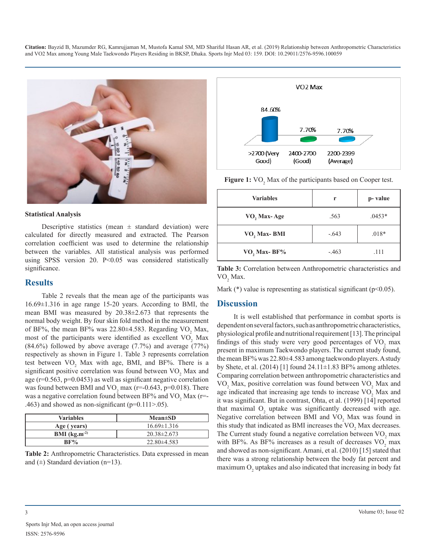**Citation:** Bayzid B, Mazumder RG, Kamrujjaman M, Mustofa Kamal SM, MD Shariful Hasan AR, et al. (2019) Relationship between Anthropometric Characteristics and VO2 Max among Young Male Taekwondo Players Residing in BKSP, Dhaka. Sports Injr Med 03: 159. DOI: 10.29011/2576-9596.100059



#### **Statistical Analysis**

Descriptive statistics (mean  $\pm$  standard deviation) were calculated for directly measured and extracted. The Pearson correlation coefficient was used to determine the relationship between the variables. All statistical analysis was performed using SPSS version 20. P<0.05 was considered statistically significance.

#### **Results**

Table 2 reveals that the mean age of the participants was 16.69±1.316 in age range 15-20 years. According to BMI, the mean BMI was measured by 20.38±2.673 that represents the normal body weight. By four skin fold method in the measurement of BF%, the mean BF% was  $22.80\pm4.583$ . Regarding VO<sub>2</sub> Max, most of the participants were identified as excellent  $VO<sub>2</sub>$  Max  $(84.6\%)$  followed by above average  $(7.7\%)$  and average  $(77\%)$ respectively as shown in Figure 1. Table 3 represents correlation test between  $VO_2$  Max with age, BMI, and BF%. There is a significant positive correlation was found between  $\text{VO}_2$  Max and age (r=0.563, p=0.0453) as well as significant negative correlation was found between BMI and  $VO<sub>2</sub>$  max (r=-0.643, p=0.018). There was a negative correlation found between  $BF\%$  and  $VO<sub>2</sub>$  Max (r=-.463) and showed as non-significant ( $p=0.111>0.05$ ).

| <b>Variables</b>  | $Mean \pm SD$   |  |  |
|-------------------|-----------------|--|--|
| Age (years)       | $16.69\pm1.316$ |  |  |
| BMI $(kg.m^{-2})$ | $20.38\pm2.673$ |  |  |
| $BF\%$            | $22.80\pm4.583$ |  |  |





**Figure 1:** VO<sub>2</sub> Max of the participants based on Cooper test.

| <b>Variables</b>        | r       | p-value  |
|-------------------------|---------|----------|
| VO <sub>2</sub> Max-Age | .563    | $.0453*$ |
| VO, Max-BMI             | $-.643$ | $.018*$  |
| VO, Max-BF%             | $-.463$ | .111     |

**Table 3:** Correlation between Anthropometric characteristics and  $\rm VO_2$  Max.

Mark  $(*)$  value is representing as statistical significant ( $p<0.05$ ).

# **Discussion**

It is well established that performance in combat sports is dependent on several factors, such as anthropometric characteristics, physiological profile and nutritional requirement [13]. The principal findings of this study were very good percentages of  $VO<sub>2</sub>$  max present in maximum Taekwondo players. The current study found, the mean BF% was 22.80±4.583 among taekwondo players. A study by Shete, et al.  $(2014)$  [1] found  $24.11 \pm 1.83$  BF% among athletes. Comparing correlation between anthropometric characteristics and  $VO<sub>2</sub>$  Max, positive correlation was found between  $VO<sub>2</sub>$  Max and age indicated that increasing age tends to increase  $VO<sub>2</sub>$  Max and it was significant. But in contrast, Ohta, et al. (1999) [14] reported that maximal  $O_2$  uptake was significantly decreased with age. Negative correlation between BMI and  $VO<sub>2</sub>$  Max was found in this study that indicated as BMI increases the  $VO<sub>2</sub>$  Max decreases. The Current study found a negative correlation between  $VO<sub>2</sub>$  max with BF%. As BF% increases as a result of decreases  $VO<sub>2</sub>$  max and showed as non-significant. Amani, et al. (2010) [15] stated that there was a strong relationship between the body fat percent and maximum  $O_2$  uptakes and also indicated that increasing in body fat